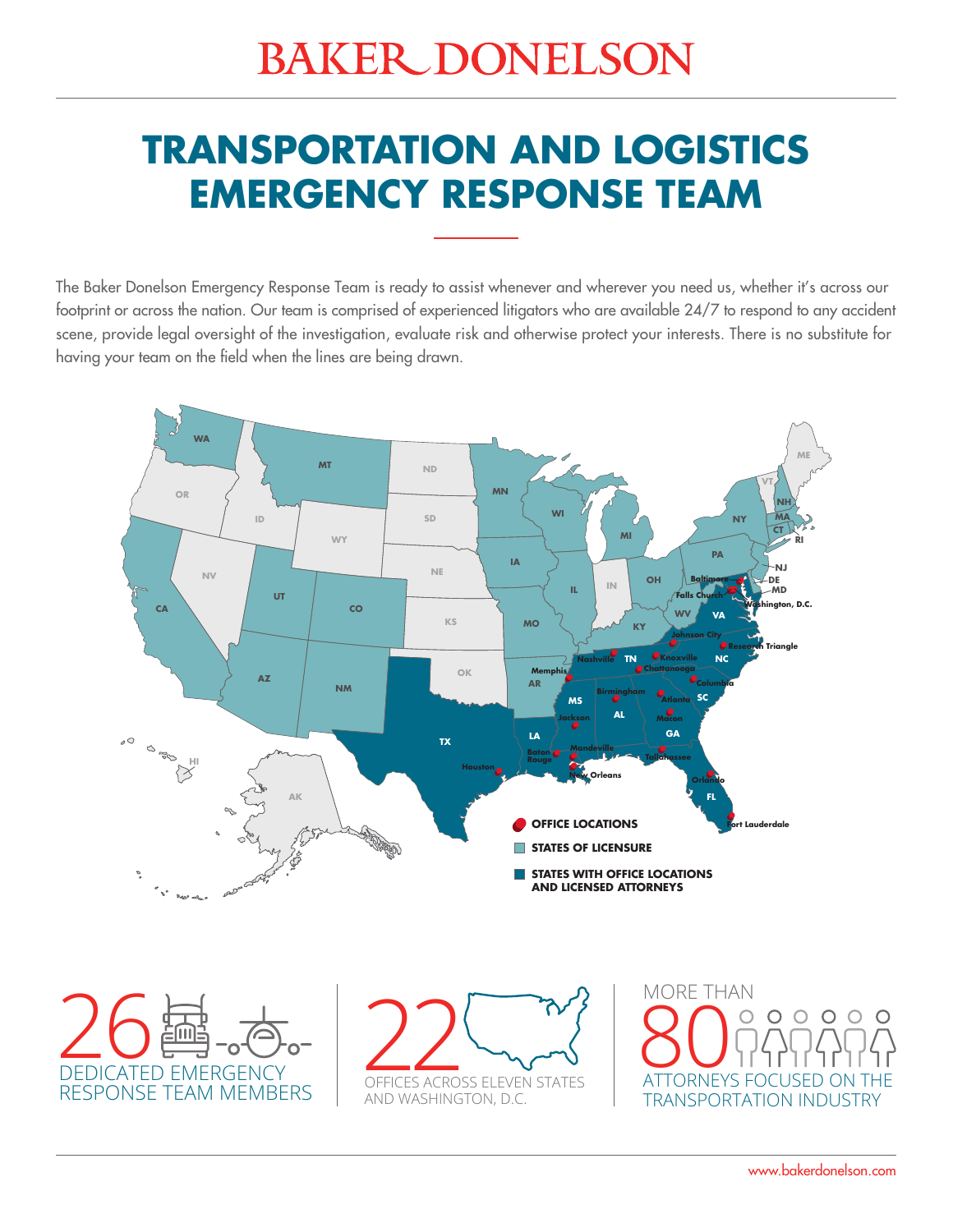# **BAKER DONELSON**

# **TRANSPORTATION AND LOGISTICS EMERGENCY RESPONSE TEAM**

The Baker Donelson Emergency Response Team is ready to assist whenever and wherever you need us, whether it's across our footprint or across the nation. Our team is comprised of experienced litigators who are available 24/7 to respond to any accident scene, provide legal oversight of the investigation, evaluate risk and otherwise protect your interests. There is no substitute for having your team on the field when the lines are being drawn.



DEDICATED EMERGENCY 26RESPONSE TEAM MEMBERS

**22 COMMANY** AND WASHINGTON, D.C.

MORE THAN **80 O** PARAPA  $\begin{array}{ccc} 0 & 0 & 0 \end{array}$  $\circ$  $\circ$ TRANSPORTATION INDUSTRY